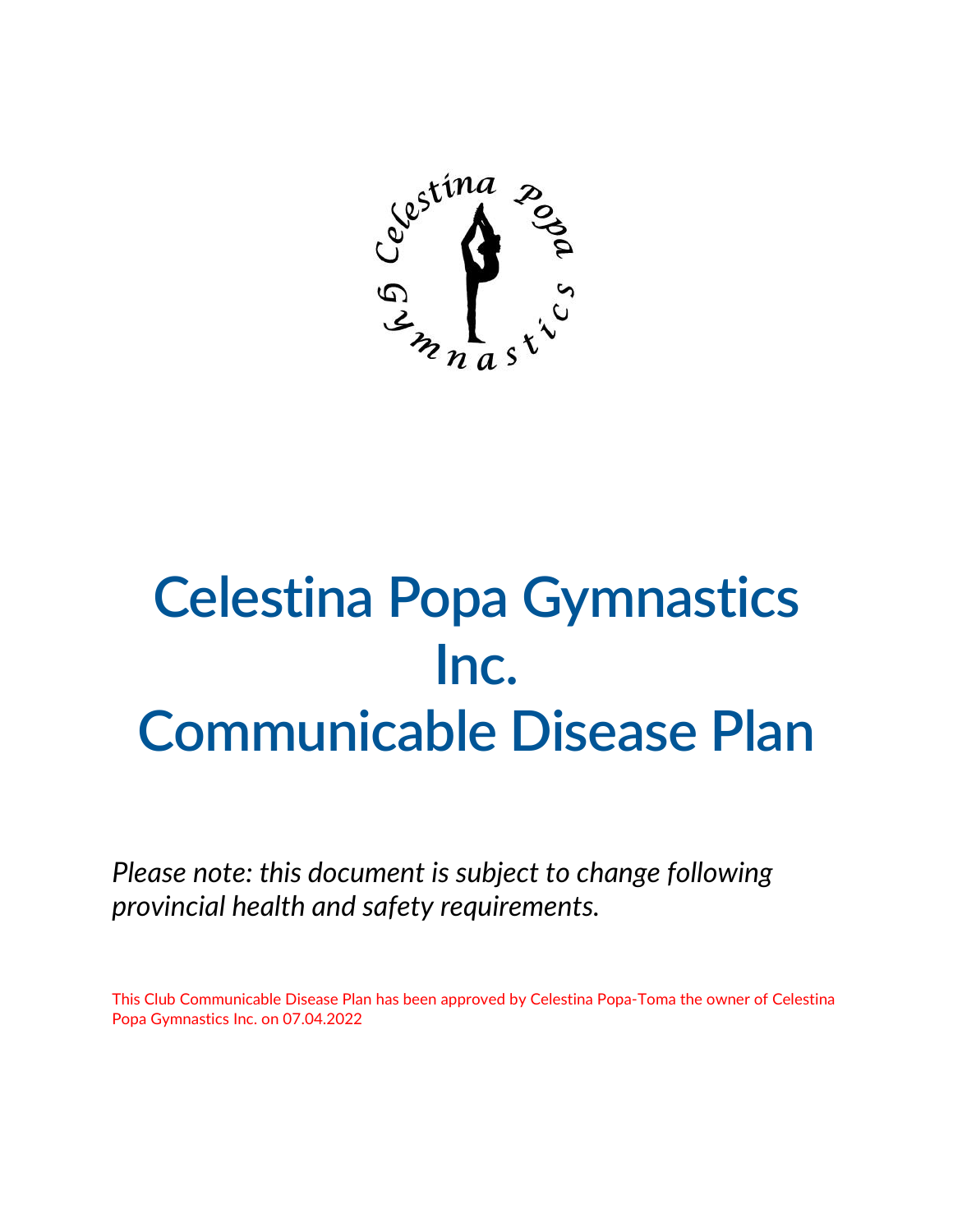

## **Celestina Popa Gymnastics Inc. Communicable Disease Plan**

*Please note: this document is subject to change following provincial health and safety requirements.* 

This Club Communicable Disease Plan has been approved by Celestina Popa-Toma the owner of Celestina Popa Gymnastics Inc. on 07.04.2022